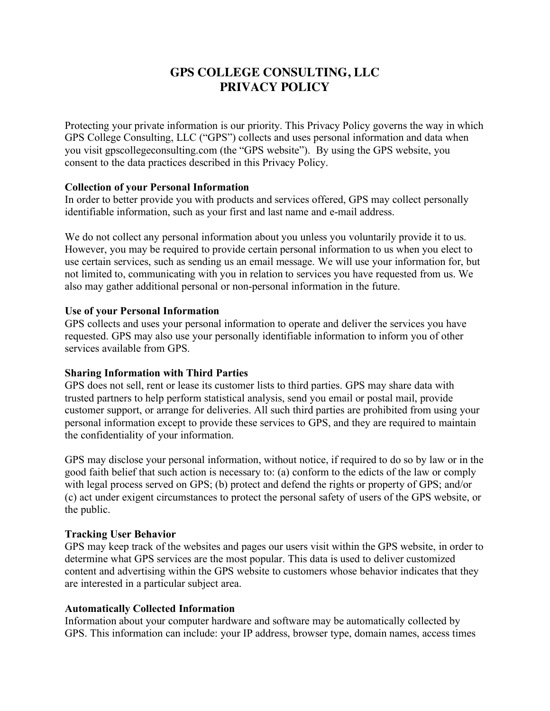# **GPS COLLEGE CONSULTING, LLC PRIVACY POLICY**

Protecting your private information is our priority. This Privacy Policy governs the way in which GPS College Consulting, LLC ("GPS") collects and uses personal information and data when you visit gpscollegeconsulting.com (the "GPS website"). By using the GPS website, you consent to the data practices described in this Privacy Policy.

## **Collection of your Personal Information**

In order to better provide you with products and services offered, GPS may collect personally identifiable information, such as your first and last name and e-mail address.

We do not collect any personal information about you unless you voluntarily provide it to us. However, you may be required to provide certain personal information to us when you elect to use certain services, such as sending us an email message. We will use your information for, but not limited to, communicating with you in relation to services you have requested from us. We also may gather additional personal or non-personal information in the future.

## **Use of your Personal Information**

GPS collects and uses your personal information to operate and deliver the services you have requested. GPS may also use your personally identifiable information to inform you of other services available from GPS.

## **Sharing Information with Third Parties**

GPS does not sell, rent or lease its customer lists to third parties. GPS may share data with trusted partners to help perform statistical analysis, send you email or postal mail, provide customer support, or arrange for deliveries. All such third parties are prohibited from using your personal information except to provide these services to GPS, and they are required to maintain the confidentiality of your information.

GPS may disclose your personal information, without notice, if required to do so by law or in the good faith belief that such action is necessary to: (a) conform to the edicts of the law or comply with legal process served on GPS; (b) protect and defend the rights or property of GPS; and/or (c) act under exigent circumstances to protect the personal safety of users of the GPS website, or the public.

## **Tracking User Behavior**

GPS may keep track of the websites and pages our users visit within the GPS website, in order to determine what GPS services are the most popular. This data is used to deliver customized content and advertising within the GPS website to customers whose behavior indicates that they are interested in a particular subject area.

## **Automatically Collected Information**

Information about your computer hardware and software may be automatically collected by GPS. This information can include: your IP address, browser type, domain names, access times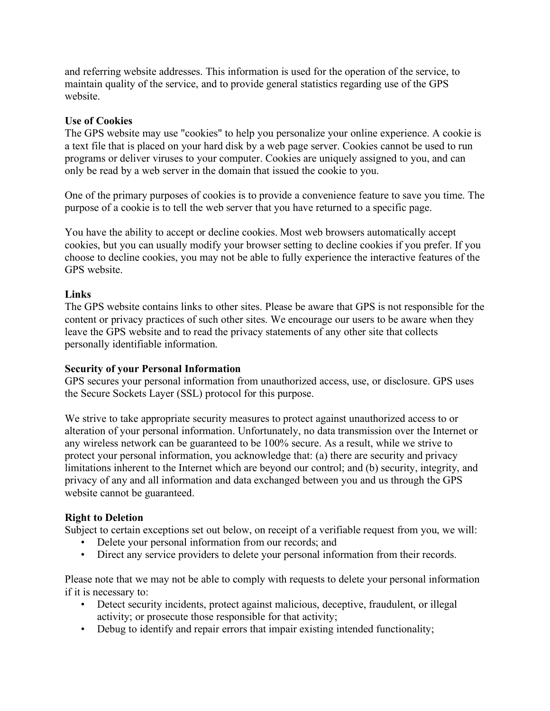and referring website addresses. This information is used for the operation of the service, to maintain quality of the service, and to provide general statistics regarding use of the GPS website.

## **Use of Cookies**

The GPS website may use "cookies" to help you personalize your online experience. A cookie is a text file that is placed on your hard disk by a web page server. Cookies cannot be used to run programs or deliver viruses to your computer. Cookies are uniquely assigned to you, and can only be read by a web server in the domain that issued the cookie to you.

One of the primary purposes of cookies is to provide a convenience feature to save you time. The purpose of a cookie is to tell the web server that you have returned to a specific page.

You have the ability to accept or decline cookies. Most web browsers automatically accept cookies, but you can usually modify your browser setting to decline cookies if you prefer. If you choose to decline cookies, you may not be able to fully experience the interactive features of the GPS website.

## **Links**

The GPS website contains links to other sites. Please be aware that GPS is not responsible for the content or privacy practices of such other sites. We encourage our users to be aware when they leave the GPS website and to read the privacy statements of any other site that collects personally identifiable information.

## **Security of your Personal Information**

GPS secures your personal information from unauthorized access, use, or disclosure. GPS uses the Secure Sockets Layer (SSL) protocol for this purpose.

We strive to take appropriate security measures to protect against unauthorized access to or alteration of your personal information. Unfortunately, no data transmission over the Internet or any wireless network can be guaranteed to be 100% secure. As a result, while we strive to protect your personal information, you acknowledge that: (a) there are security and privacy limitations inherent to the Internet which are beyond our control; and (b) security, integrity, and privacy of any and all information and data exchanged between you and us through the GPS website cannot be guaranteed.

# **Right to Deletion**

Subject to certain exceptions set out below, on receipt of a verifiable request from you, we will:

- Delete your personal information from our records; and
- Direct any service providers to delete your personal information from their records.

Please note that we may not be able to comply with requests to delete your personal information if it is necessary to:

- Detect security incidents, protect against malicious, deceptive, fraudulent, or illegal activity; or prosecute those responsible for that activity;
- Debug to identify and repair errors that impair existing intended functionality;